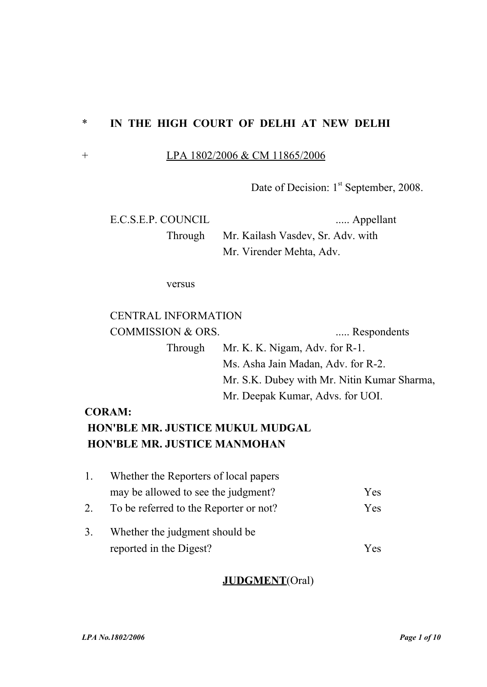## \* **IN THE HIGH COURT OF DELHI AT NEW DELHI**

### + LPA 1802/2006 & CM 11865/2006

Date of Decision: 1<sup>st</sup> September, 2008.

E.C.S.E.P. COUNCIL ..... Appellant

Through Mr. Kailash Vasdev, Sr. Adv. with Mr. Virender Mehta, Adv.

versus

## CENTRAL INFORMATION

COMMISSION & ORS. ...... Respondents Through Mr. K. K. Nigam, Adv. for R-1. Ms. Asha Jain Madan, Adv. for R-2. Mr. S.K. Dubey with Mr. Nitin Kumar Sharma, Mr. Deepak Kumar, Advs. for UOI.

## **CORAM:**

# **HON'BLE MR. JUSTICE MUKUL MUDGAL HON'BLE MR. JUSTICE MANMOHAN**

|    | Whether the Reporters of local papers  |     |
|----|----------------------------------------|-----|
|    | may be allowed to see the judgment?    | Yes |
| 2. | To be referred to the Reporter or not? | Yes |
| 3. | Whether the judgment should be         |     |
|    | reported in the Digest?                | Yes |

## **JUDGMENT**(Oral)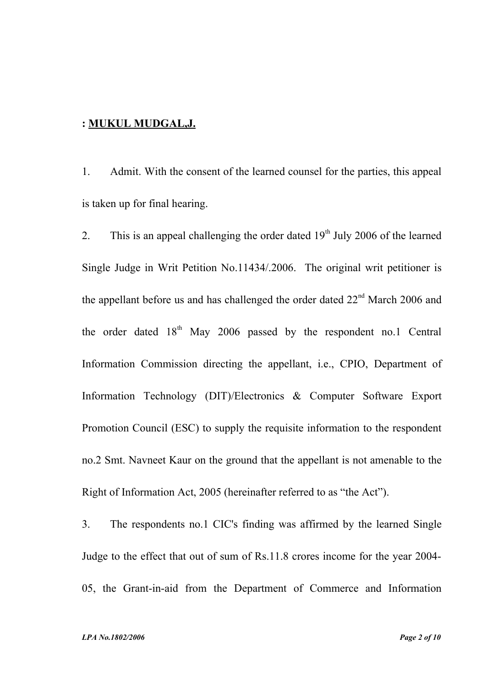#### **: [M UKUL MUDGAL](file:///E:/linux data/B.N.CHATURVEDI),J .**

1. Admit. With the consent of the learned counsel for the parties, this appeal is taken up for final hearing.

2. This is an appeal challenging the order dated  $19<sup>th</sup>$  July 2006 of the learned Single Judge in Writ Petition No.11434/.2006. The original writ petitioner is the appellant before us and has challenged the order dated  $22<sup>nd</sup>$  March 2006 and the order dated  $18<sup>th</sup>$  May 2006 passed by the respondent no.1 Central Information Commission directing the appellant, i.e., CPIO, Department of Information Technology (DIT)/Electronics & Computer Software Export Promotion Council (ESC) to supply the requisite information to the respondent no.2 Smt. Navneet Kaur on the ground that the appellant is not amenable to the Right of Information Act, 2005 (hereinafter referred to as "the Act").

3. The respondents no.1 CIC's finding was affirmed by the learned Single Judge to the effect that out of sum of Rs.11.8 crores income for the year 2004- 05, the Grant-in-aid from the Department of Commerce and Information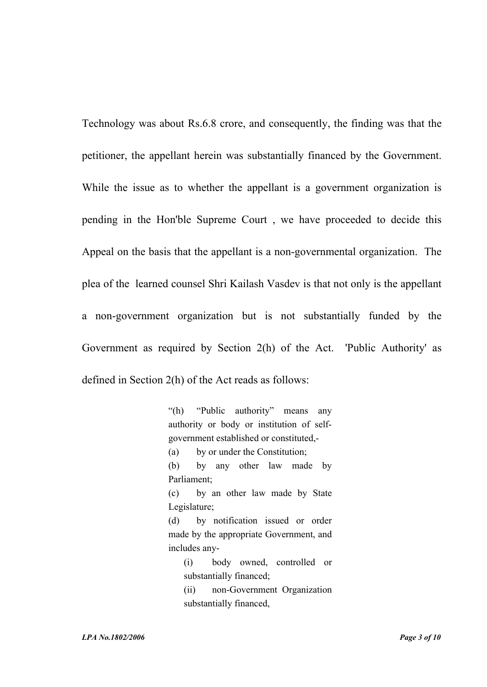Technology was about Rs.6.8 crore, and consequently, the finding was that the petitioner, the appellant herein was substantially financed by the Government. While the issue as to whether the appellant is a government organization is pending in the Hon'ble Supreme Court , we have proceeded to decide this Appeal on the basis that the appellant is a non-governmental organization. The plea of the learned counsel Shri Kailash Vasdev is that not only is the appellant a non-government organization but is not substantially funded by the Government as required by Section 2(h) of the Act. 'Public Authority' as defined in Section 2(h) of the Act reads as follows:

> "(h) "Public authority" means any authority or body or institution of selfgovernment established or constituted,- (a) by or under the Constitution; (b) by any other law made by Parliament; (c) by an other law made by State Legislature;

> (d) by notification issued or order made by the appropriate Government, and includes any-

(i) body owned, controlled or substantially financed;

(ii) non-Government Organization substantially financed,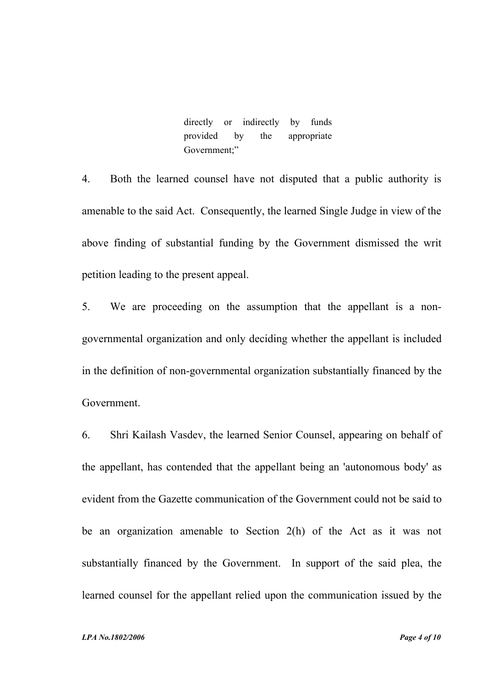directly or indirectly by funds provided by the appropriate Government;"

4. Both the learned counsel have not disputed that a public authority is amenable to the said Act. Consequently, the learned Single Judge in view of the above finding of substantial funding by the Government dismissed the writ petition leading to the present appeal.

5. We are proceeding on the assumption that the appellant is a nongovernmental organization and only deciding whether the appellant is included in the definition of non-governmental organization substantially financed by the Government.

6. Shri Kailash Vasdev, the learned Senior Counsel, appearing on behalf of the appellant, has contended that the appellant being an 'autonomous body' as evident from the Gazette communication of the Government could not be said to be an organization amenable to Section 2(h) of the Act as it was not substantially financed by the Government. In support of the said plea, the learned counsel for the appellant relied upon the communication issued by the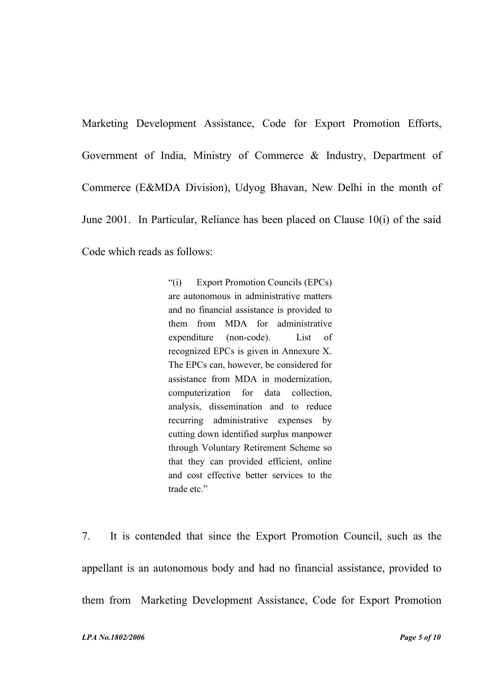Marketing Development Assistance, Code for Export Promotion Efforts, Government of India, Ministry of Commerce & Industry, Department of Commerce (E&MDA Division), Udyog Bhavan, New Delhi in the month of June 2001. In Particular, Reliance has been placed on Clause 10(i) of the said Code which reads as follows:

> "(i) Export Promotion Councils (EPCs) are autonomous in administrative matters and no financial assistance is provided to them from MDA for administrative expenditure (non-code). List of recognized EPCs is given in Annexure X. The EPCs can, however, be considered for assistance from MDA in modernization, computerization for data collection, analysis, dissemination and to reduce recurring administrative expenses by cutting down identified surplus manpower through Voluntary Retirement Scheme so that they can provided efficient, online and cost effective better services to the trade etc."

7. It is contended that since the Export Promotion Council, such as the appellant is an autonomous body and had no financial assistance, provided to them from Marketing Development Assistance, Code for Export Promotion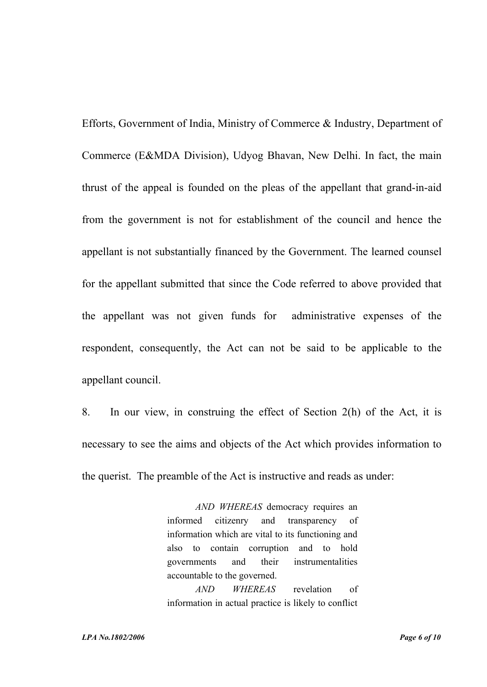Efforts, Government of India, Ministry of Commerce & Industry, Department of Commerce (E&MDA Division), Udyog Bhavan, New Delhi. In fact, the main thrust of the appeal is founded on the pleas of the appellant that grand-in-aid from the government is not for establishment of the council and hence the appellant is not substantially financed by the Government. The learned counsel for the appellant submitted that since the Code referred to above provided that the appellant was not given funds for administrative expenses of the respondent, consequently, the Act can not be said to be applicable to the appellant council.

8. In our view, in construing the effect of Section 2(h) of the Act, it is necessary to see the aims and objects of the Act which provides information to the querist. The preamble of the Act is instructive and reads as under:

> *AND WHEREAS* democracy requires an informed citizenry and transparency of information which are vital to its functioning and also to contain corruption and to hold governments and their instrumentalities accountable to the governed.

> *AND WHEREAS* revelation of information in actual practice is likely to conflict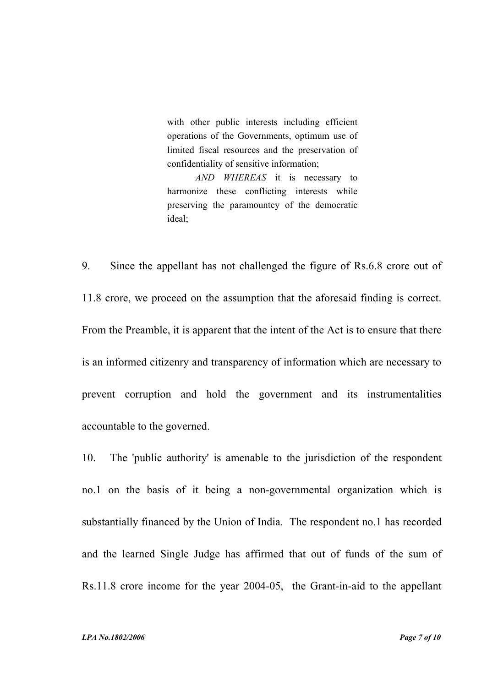with other public interests including efficient operations of the Governments, optimum use of limited fiscal resources and the preservation of confidentiality of sensitive information;

*AND WHEREAS* it is necessary to harmonize these conflicting interests while preserving the paramountcy of the democratic ideal;

9. Since the appellant has not challenged the figure of Rs.6.8 crore out of 11.8 crore, we proceed on the assumption that the aforesaid finding is correct. From the Preamble, it is apparent that the intent of the Act is to ensure that there is an informed citizenry and transparency of information which are necessary to prevent corruption and hold the government and its instrumentalities accountable to the governed.

10. The 'public authority' is amenable to the jurisdiction of the respondent no.1 on the basis of it being a non-governmental organization which is substantially financed by the Union of India. The respondent no.1 has recorded and the learned Single Judge has affirmed that out of funds of the sum of Rs.11.8 crore income for the year 2004-05, the Grant-in-aid to the appellant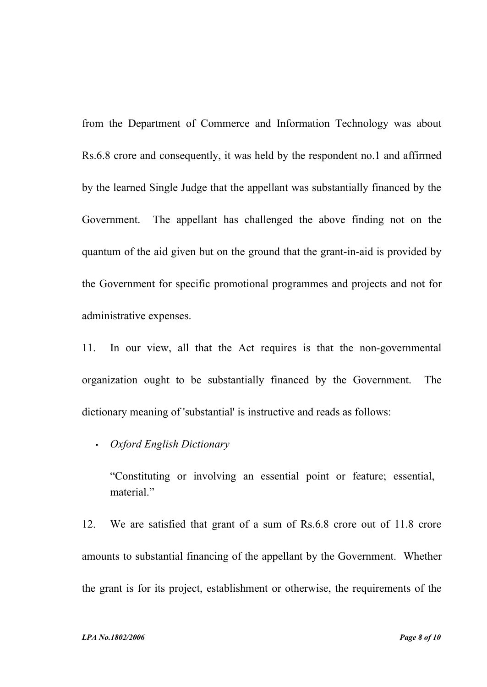from the Department of Commerce and Information Technology was about Rs.6.8 crore and consequently, it was held by the respondent no.1 and affirmed by the learned Single Judge that the appellant was substantially financed by the Government. The appellant has challenged the above finding not on the quantum of the aid given but on the ground that the grant-in-aid is provided by the Government for specific promotional programmes and projects and not for administrative expenses.

11. In our view, all that the Act requires is that the non-governmental organization ought to be substantially financed by the Government. The dictionary meaning of 'substantial' is instructive and reads as follows:

• *Oxford English Dictionary*

"Constituting or involving an essential point or feature; essential, material."

12. We are satisfied that grant of a sum of Rs.6.8 crore out of 11.8 crore amounts to substantial financing of the appellant by the Government. Whether the grant is for its project, establishment or otherwise, the requirements of the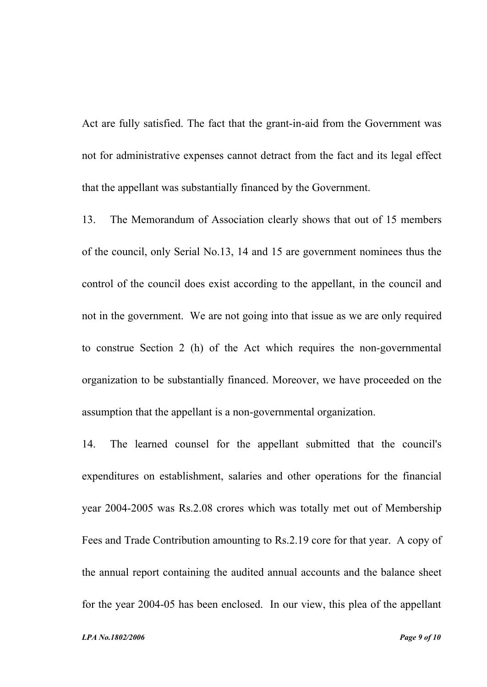Act are fully satisfied. The fact that the grant-in-aid from the Government was not for administrative expenses cannot detract from the fact and its legal effect that the appellant was substantially financed by the Government.

13. The Memorandum of Association clearly shows that out of 15 members of the council, only Serial No.13, 14 and 15 are government nominees thus the control of the council does exist according to the appellant, in the council and not in the government. We are not going into that issue as we are only required to construe Section 2 (h) of the Act which requires the non-governmental organization to be substantially financed. Moreover, we have proceeded on the assumption that the appellant is a non-governmental organization.

14. The learned counsel for the appellant submitted that the council's expenditures on establishment, salaries and other operations for the financial year 2004-2005 was Rs.2.08 crores which was totally met out of Membership Fees and Trade Contribution amounting to Rs.2.19 core for that year. A copy of the annual report containing the audited annual accounts and the balance sheet for the year 2004-05 has been enclosed. In our view, this plea of the appellant